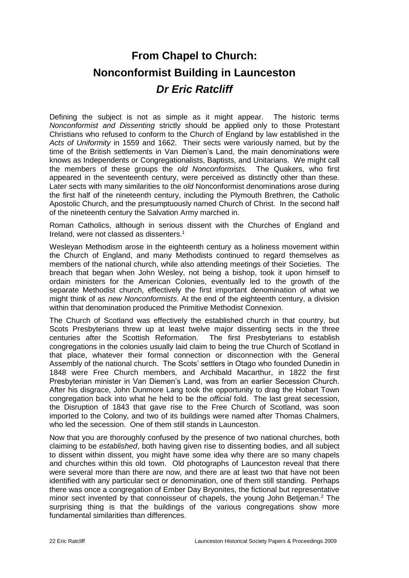## **From Chapel to Church: Nonconformist Building in Launceston** *Dr Eric Ratcliff*

Defining the subject is not as simple as it might appear. The historic terms *Nonconformist and Dissenting* strictly should be applied only to those Protestant Christians who refused to conform to the Church of England by law established in the *Acts of Uniformity* in 1559 and 1662. Their sects were variously named, but by the time of the British settlements in Van Diemen's Land, the main denominations were knows as Independents or Congregationalists, Baptists, and Unitarians. We might call the members of these groups the *old Nonconformists.* The Quakers, who first appeared in the seventeenth century, were perceived as distinctly other than these. Later sects with many similarities to the *old* Nonconformist denominations arose during the first half of the nineteenth century, including the Plymouth Brethren, the Catholic Apostolic Church, and the presumptuously named Church of Christ. In the second half of the nineteenth century the Salvation Army marched in.

Roman Catholics, although in serious dissent with the Churches of England and Ireland, were not classed as dissenters.<sup>1</sup>

Wesleyan Methodism arose in the eighteenth century as a holiness movement within the Church of England, and many Methodists continued to regard themselves as members of the national church, while also attending meetings of their Societies. The breach that began when John Wesley, not being a bishop, took it upon himself to ordain ministers for the American Colonies, eventually led to the growth of the separate Methodist church, effectively the first important denomination of what we might think of as *new Nonconformists*. At the end of the eighteenth century, a division within that denomination produced the Primitive Methodist Connexion.

The Church of Scotland was effectively the established church in that country, but Scots Presbyterians threw up at least twelve major dissenting sects in the three centuries after the Scottish Reformation. The first Presbyterians to establish congregations in the colonies usually laid claim to being the true Church of Scotland in that place, whatever their formal connection or disconnection with the General Assembly of the national church. The Scots' settlers in Otago who founded Dunedin in 1848 were Free Church members, and Archibald Macarthur, in 1822 the first Presbyterian minister in Van Diemen's Land, was from an earlier Secession Church. After his disgrace, John Dunmore Lang took the opportunity to drag the Hobart Town congregation back into what he held to be the *official* fold. The last great secession, the Disruption of 1843 that gave rise to the Free Church of Scotland, was soon imported to the Colony, and two of its buildings were named after Thomas Chalmers, who led the secession. One of them still stands in Launceston.

Now that you are thoroughly confused by the presence of two national churches, both claiming to be *established*, both having given rise to dissenting bodies, and all subject to dissent within dissent, you might have some idea why there are so many chapels and churches within this old town. Old photographs of Launceston reveal that there were several more than there are now, and there are at least two that have not been identified with any particular sect or denomination, one of them still standing. Perhaps there was once a congregation of Ember Day Bryonites, the fictional but representative minor sect invented by that connoisseur of chapels, the young John Betjeman.<sup>2</sup> The surprising thing is that the buildings of the various congregations show more fundamental similarities than differences.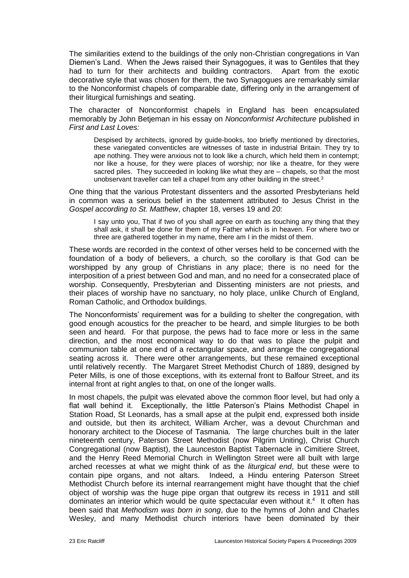The similarities extend to the buildings of the only non-Christian congregations in Van Diemen's Land. When the Jews raised their Synagogues, it was to Gentiles that they had to turn for their architects and building contractors. Apart from the exotic decorative style that was chosen for them, the two Synagogues are remarkably similar to the Nonconformist chapels of comparable date, differing only in the arrangement of their liturgical furnishings and seating.

The character of Nonconformist chapels in England has been encapsulated memorably by John Betjeman in his essay on *Nonconformist Architecture* published in *First and Last Loves:*

Despised by architects, ignored by guide-books, too briefly mentioned by directories, these variegated conventicles are witnesses of taste in industrial Britain. They try to ape nothing. They were anxious not to look like a church, which held them in contempt; nor like a house, for they were places of worship; nor like a theatre, for they were sacred piles. They succeeded in looking like what they are – chapels, so that the most unobservant traveller can tell a chapel from any other building in the street.<sup>3</sup>

One thing that the various Protestant dissenters and the assorted Presbyterians held in common was a serious belief in the statement attributed to Jesus Christ in the *Gospel according to St. Matthew*, chapter 18, verses 19 and 20:

I say unto you, That if two of you shall agree on earth as touching any thing that they shall ask, it shall be done for them of my Father which is in heaven. For where two or three are gathered together in my name, there am I in the midst of them.

These words are recorded in the context of other verses held to be concerned with the foundation of a body of believers, a church, so the corollary is that God can be worshipped by any group of Christians in any place; there is no need for the interposition of a priest between God and man, and no need for a consecrated place of worship. Consequently, Presbyterian and Dissenting ministers are not priests, and their places of worship have no sanctuary, no holy place, unlike Church of England, Roman Catholic, and Orthodox buildings.

The Nonconformists' requirement was for a building to shelter the congregation, with good enough acoustics for the preacher to be heard, and simple liturgies to be both seen and heard. For that purpose, the pews had to face more or less in the same direction, and the most economical way to do that was to place the pulpit and communion table at one end of a rectangular space, and arrange the congregational seating across it. There were other arrangements, but these remained exceptional until relatively recently. The Margaret Street Methodist Church of 1889, designed by Peter Mills, is one of those exceptions, with its external front to Balfour Street, and its internal front at right angles to that, on one of the longer walls.

In most chapels, the pulpit was elevated above the common floor level, but had only a flat wall behind it. Exceptionally, the little Paterson's Plains Methodist Chapel in Station Road, St Leonards, has a small apse at the pulpit end, expressed both inside and outside, but then its architect, William Archer, was a devout Churchman and honorary architect to the Diocese of Tasmania. The large churches built in the later nineteenth century, Paterson Street Methodist (now Pilgrim Uniting), Christ Church Congregational (now Baptist), the Launceston Baptist Tabernacle in Cimitiere Street, and the Henry Reed Memorial Church in Wellington Street were all built with large arched recesses at what we might think of as the *liturgical end*, but these were to contain pipe organs, and not altars. Indeed, a Hindu entering Paterson Street Methodist Church before its internal rearrangement might have thought that the chief object of worship was the huge pipe organ that outgrew its recess in 1911 and still dominates an interior which would be quite spectacular even without it.<sup>4</sup> It often has been said that *Methodism was born in song*, due to the hymns of John and Charles Wesley, and many Methodist church interiors have been dominated by their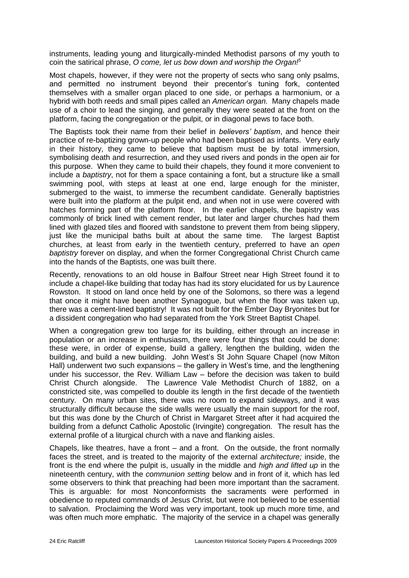instruments, leading young and liturgically-minded Methodist parsons of my youth to coin the satirical phrase, *O come, let us bow down and worship the Organ!<sup>5</sup>*

Most chapels, however, if they were not the property of sects who sang only psalms, and permitted no instrument beyond their precentor's tuning fork, contented themselves with a smaller organ placed to one side, or perhaps a harmonium, or a hybrid with both reeds and small pipes called an *American organ.* Many chapels made use of a choir to lead the singing, and generally they were seated at the front on the platform, facing the congregation or the pulpit, or in diagonal pews to face both.

The Baptists took their name from their belief in *believers' baptism*, and hence their practice of re-baptizing grown-up people who had been baptised as infants. Very early in their history, they came to believe that baptism must be by total immersion, symbolising death and resurrection, and they used rivers and ponds in the open air for this purpose. When they came to build their chapels, they found it more convenient to include a *baptistry*, not for them a space containing a font, but a structure like a small swimming pool, with steps at least at one end, large enough for the minister, submerged to the waist, to immerse the recumbent candidate. Generally baptistries were built into the platform at the pulpit end, and when not in use were covered with hatches forming part of the platform floor. In the earlier chapels, the bapistry was commonly of brick lined with cement render, but later and larger churches had them lined with glazed tiles and floored with sandstone to prevent them from being slippery, just like the municipal baths built at about the same time. The largest Baptist churches, at least from early in the twentieth century, preferred to have an *open baptistry* forever on display, and when the former Congregational Christ Church came into the hands of the Baptists, one was built there.

Recently, renovations to an old house in Balfour Street near High Street found it to include a chapel-like building that today has had its story elucidated for us by Laurence Rowston. It stood on land once held by one of the Solomons, so there was a legend that once it might have been another Synagogue, but when the floor was taken up, there was a cement-lined baptistry! It was not built for the Ember Day Bryonites but for a dissident congregation who had separated from the York Street Baptist Chapel.

When a congregation grew too large for its building, either through an increase in population or an increase in enthusiasm, there were four things that could be done: these were, in order of expense, build a gallery, lengthen the building, widen the building, and build a new building. John West's St John Square Chapel (now Milton Hall) underwent two such expansions – the gallery in West's time, and the lengthening under his successor, the Rev. William Law – before the decision was taken to build Christ Church alongside. The Lawrence Vale Methodist Church of 1882, on a constricted site, was compelled to double its length in the first decade of the twentieth century. On many urban sites, there was no room to expand sideways, and it was structurally difficult because the side walls were usually the main support for the roof, but this was done by the Church of Christ in Margaret Street after it had acquired the building from a defunct Catholic Apostolic (Irvingite) congregation. The result has the external profile of a liturgical church with a nave and flanking aisles.

Chapels, like theatres, have a front – and a front. On the outside, the front normally faces the street, and is treated to the majority of the external *architecture;* inside, the front is the end where the pulpit is, usually in the middle and *high and lifted up* in the nineteenth century, with the *communion setting* below and in front of it, which has led some observers to think that preaching had been more important than the sacrament. This is arguable: for most Nonconformists the sacraments were performed in obedience to reputed commands of Jesus Christ, but were not believed to be essential to salvation. Proclaiming the Word was very important, took up much more time, and was often much more emphatic. The majority of the service in a chapel was generally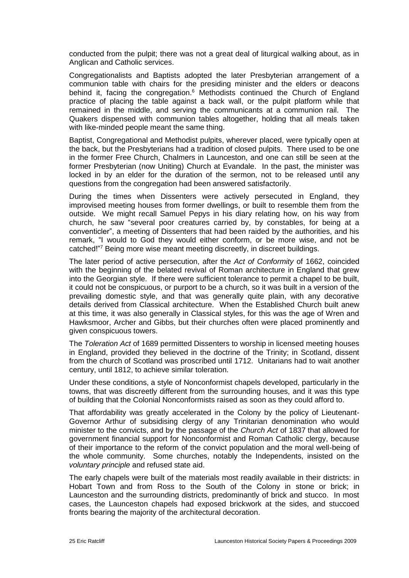conducted from the pulpit; there was not a great deal of liturgical walking about, as in Anglican and Catholic services.

Congregationalists and Baptists adopted the later Presbyterian arrangement of a communion table with chairs for the presiding minister and the elders or deacons behind it, facing the congregation.<sup>6</sup> Methodists continued the Church of England practice of placing the table against a back wall, or the pulpit platform while that remained in the middle, and serving the communicants at a communion rail. The Quakers dispensed with communion tables altogether, holding that all meals taken with like-minded people meant the same thing.

Baptist, Congregational and Methodist pulpits, wherever placed, were typically open at the back, but the Presbyterians had a tradition of closed pulpits. There used to be one in the former Free Church, Chalmers in Launceston, and one can still be seen at the former Presbyterian (now Uniting) Church at Evandale. In the past, the minister was locked in by an elder for the duration of the sermon, not to be released until any questions from the congregation had been answered satisfactorily.

During the times when Dissenters were actively persecuted in England, they improvised meeting houses from former dwellings, or built to resemble them from the outside. We might recall Samuel Pepys in his diary relating how, on his way from church, he saw "several poor creatures carried by, by constables, for being at a conventicler", a meeting of Dissenters that had been raided by the authorities, and his remark, "I would to God they would either conform, or be more wise, and not be catched!"<sup>7</sup> Being more wise meant meeting discreetly, in discreet buildings.

The later period of active persecution, after the *Act of Conformity* of 1662, coincided with the beginning of the belated revival of Roman architecture in England that grew into the Georgian style. If there were sufficient tolerance to permit a chapel to be built, it could not be conspicuous, or purport to be a church, so it was built in a version of the prevailing domestic style, and that was generally quite plain, with any decorative details derived from Classical architecture. When the Established Church built anew at this time, it was also generally in Classical styles, for this was the age of Wren and Hawksmoor, Archer and Gibbs, but their churches often were placed prominently and given conspicuous towers.

The *Toleration Act* of 1689 permitted Dissenters to worship in licensed meeting houses in England, provided they believed in the doctrine of the Trinity; in Scotland, dissent from the church of Scotland was proscribed until 1712. Unitarians had to wait another century, until 1812, to achieve similar toleration.

Under these conditions, a style of Nonconformist chapels developed, particularly in the towns, that was discreetly different from the surrounding houses, and it was this type of building that the Colonial Nonconformists raised as soon as they could afford to.

That affordability was greatly accelerated in the Colony by the policy of Lieutenant-Governor Arthur of subsidising clergy of any Trinitarian denomination who would minister to the convicts, and by the passage of the *Church Act* of 1837 that allowed for government financial support for Nonconformist and Roman Catholic clergy, because of their importance to the reform of the convict population and the moral well-being of the whole community. Some churches, notably the Independents, insisted on the *voluntary principle* and refused state aid.

The early chapels were built of the materials most readily available in their districts: in Hobart Town and from Ross to the South of the Colony in stone or brick; in Launceston and the surrounding districts, predominantly of brick and stucco. In most cases, the Launceston chapels had exposed brickwork at the sides, and stuccoed fronts bearing the majority of the architectural decoration.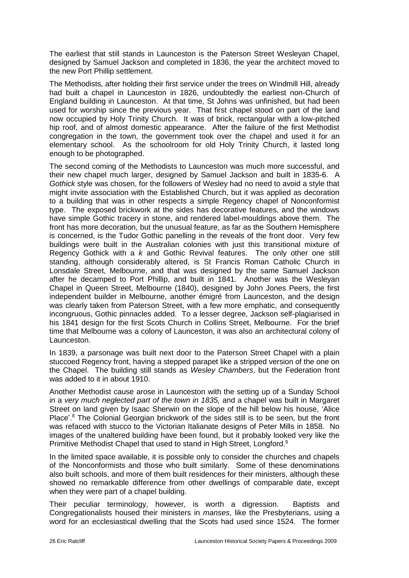The earliest that still stands in Launceston is the Paterson Street Wesleyan Chapel, designed by Samuel Jackson and completed in 1836, the year the architect moved to the new Port Phillip settlement.

The Methodists, after holding their first service under the trees on Windmill Hill, already had built a chapel in Launceston in 1826, undoubtedly the earliest non-Church of England building in Launceston. At that time, St Johns was unfinished, but had been used for worship since the previous year. That first chapel stood on part of the land now occupied by Holy Trinity Church. It was of brick, rectangular with a low-pitched hip roof, and of almost domestic appearance. After the failure of the first Methodist congregation in the town, the government took over the chapel and used it for an elementary school. As the schoolroom for old Holy Trinity Church, it lasted long enough to be photographed.

The second coming of the Methodists to Launceston was much more successful, and their new chapel much larger, designed by Samuel Jackson and built in 1835-6. A *Gothick* style was chosen, for the followers of Wesley had no need to avoid a style that might invite association with the Established Church, but it was applied as decoration to a building that was in other respects a simple Regency chapel of Nonconformist type. The exposed brickwork at the sides has decorative features, and the windows have simple Gothic tracery in stone, and rendered label-mouldings above them. The front has more decoration, but the unusual feature, as far as the Southern Hemisphere is concerned, is the Tudor Gothic panelling in the reveals of the front door. Very few buildings were built in the Australian colonies with just this transitional mixture of Regency Gothick with a *k* and Gothic Revival features. The only other one still standing, although considerably altered, is St Francis Roman Catholic Church in Lonsdale Street, Melbourne, and that was designed by the same Samuel Jackson after he decamped to Port Phillip, and built in 1841. Another was the Wesleyan Chapel in Queen Street, Melbourne (1840), designed by John Jones Peers, the first independent builder in Melbourne, another émigré from Launceston, and the design was clearly taken from Paterson Street, with a few more emphatic, and consequently incongruous, Gothic pinnacles added. To a lesser degree, Jackson self-plagiarised in his 1841 design for the first Scots Church in Collins Street, Melbourne. For the brief time that Melbourne was a colony of Launceston, it was also an architectural colony of Launceston.

In 1839, a parsonage was built next door to the Paterson Street Chapel with a plain stuccoed Regency front, having a stepped parapet like a stripped version of the one on the Chapel. The building still stands as *Wesley Chambers*, but the Federation front was added to it in about 1910.

Another Methodist cause arose in Launceston with the setting up of a Sunday School in a *very much neglected part of the town in 1835,* and a chapel was built in Margaret Street on land given by Isaac Sherwin on the slope of the hill below his house, 'Alice Place'.<sup>8</sup> The Colonial Georgian brickwork of the sides still is to be seen, but the front was refaced with stucco to the Victorian Italianate designs of Peter Mills in 1858. No images of the unaltered building have been found, but it probably looked very like the Primitive Methodist Chapel that used to stand in High Street, Longford.<sup>9</sup>

In the limited space available, it is possible only to consider the churches and chapels of the Nonconformists and those who built similarly. Some of these denominations also built schools, and more of them built residences for their ministers, although these showed no remarkable difference from other dwellings of comparable date, except when they were part of a chapel building.

Their peculiar terminology, however, is worth a digression. Baptists and Congregationalists housed their ministers in *manses*, like the Presbyterians, using a word for an ecclesiastical dwelling that the Scots had used since 1524. The former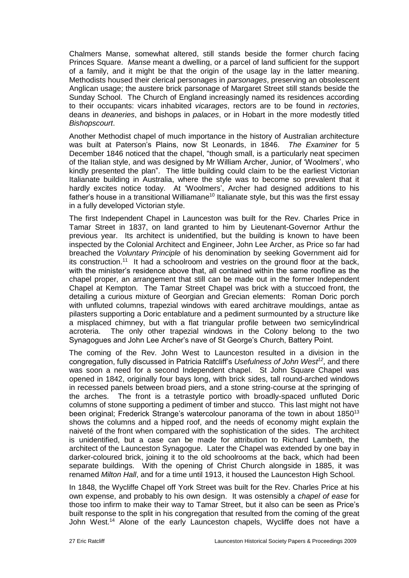Chalmers Manse, somewhat altered, still stands beside the former church facing Princes Square. *Manse* meant a dwelling, or a parcel of land sufficient for the support of a family, and it might be that the origin of the usage lay in the latter meaning. Methodists housed their clerical personages in *parsonages*, preserving an obsolescent Anglican usage; the austere brick parsonage of Margaret Street still stands beside the Sunday School. The Church of England increasingly named its residences according to their occupants: vicars inhabited *vicarages*, rectors are to be found in *rectories*, deans in *deaneries*, and bishops in *palaces*, or in Hobart in the more modestly titled *Bishopscourt*.

Another Methodist chapel of much importance in the history of Australian architecture was built at Paterson's Plains, now St Leonards, in 1846. *The Examiner* for 5 December 1846 noticed that the chapel, "though small, is a particularly neat specimen of the Italian style, and was designed by Mr William Archer, Junior, of 'Woolmers', who kindly presented the plan".The little building could claim to be the earliest Victorian Italianate building in Australia, where the style was to become so prevalent that it hardly excites notice today. At 'Woolmers', Archer had designed additions to his father's house in a transitional Williamane<sup>10</sup> Italianate style, but this was the first essay in a fully developed Victorian style.

The first Independent Chapel in Launceston was built for the Rev. Charles Price in Tamar Street in 1837, on land granted to him by Lieutenant-Governor Arthur the previous year. Its architect is unidentified, but the building is known to have been inspected by the Colonial Architect and Engineer, John Lee Archer, as Price so far had breached the *Voluntary Principle* of his denomination by seeking Government aid for its construction.<sup>11</sup> It had a schoolroom and vestries on the ground floor at the back, with the minister's residence above that, all contained within the same roofline as the chapel proper, an arrangement that still can be made out in the former Independent Chapel at Kempton. The Tamar Street Chapel was brick with a stuccoed front, the detailing a curious mixture of Georgian and Grecian elements: Roman Doric porch with unfluted columns, trapezial windows with eared architrave mouldings, antae as pilasters supporting a Doric entablature and a pediment surmounted by a structure like a misplaced chimney, but with a flat triangular profile between two semicylindrical acroteria. The only other trapezial windows in the Colony belong to the two Synagogues and John Lee Archer's nave of St George's Church, Battery Point.

The coming of the Rev. John West to Launceston resulted in a division in the congregation, fully discussed in Patricia Ratcliff's *Usefulness of John West<sup>12</sup>* , and there was soon a need for a second Independent chapel. St John Square Chapel was opened in 1842, originally four bays long, with brick sides, tall round-arched windows in recessed panels between broad piers, and a stone string-course at the springing of the arches. The front is a tetrastyle portico with broadly-spaced unfluted Doric columns of stone supporting a pediment of timber and stucco. This last might not have been original; Frederick Strange's watercolour panorama of the town in about 1850<sup>13</sup> shows the columns and a hipped roof, and the needs of economy might explain the naiveté of the front when compared with the sophistication of the sides. The architect is unidentified, but a case can be made for attribution to Richard Lambeth, the architect of the Launceston Synagogue. Later the Chapel was extended by one bay in darker-coloured brick, joining it to the old schoolrooms at the back, which had been separate buildings. With the opening of Christ Church alongside in 1885, it was renamed *Milton Hall*, and for a time until 1913, it housed the Launceston High School.

In 1848, the Wycliffe Chapel off York Street was built for the Rev. Charles Price at his own expense, and probably to his own design. It was ostensibly a *chapel of ease* for those too infirm to make their way to Tamar Street, but it also can be seen as Price's built response to the split in his congregation that resulted from the coming of the great John West.<sup>14</sup> Alone of the early Launceston chapels, Wycliffe does not have a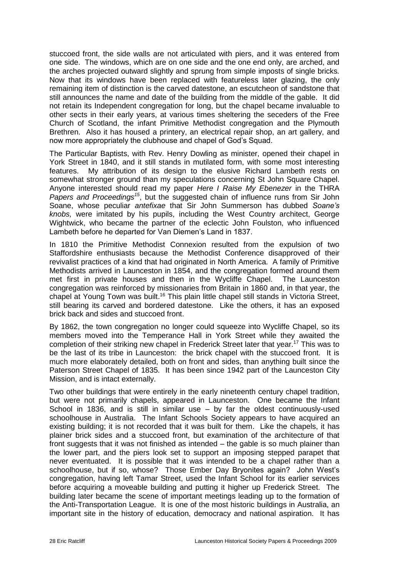stuccoed front, the side walls are not articulated with piers, and it was entered from one side. The windows, which are on one side and the one end only, are arched, and the arches projected outward slightly and sprung from simple imposts of single bricks. Now that its windows have been replaced with featureless later glazing, the only remaining item of distinction is the carved datestone, an escutcheon of sandstone that still announces the name and date of the building from the middle of the gable. It did not retain its Independent congregation for long, but the chapel became invaluable to other sects in their early years, at various times sheltering the seceders of the Free Church of Scotland, the infant Primitive Methodist congregation and the Plymouth Brethren. Also it has housed a printery, an electrical repair shop, an art gallery, and now more appropriately the clubhouse and chapel of God's Squad.

The Particular Baptists, with Rev. Henry Dowling as minister, opened their chapel in York Street in 1840, and it still stands in mutilated form, with some most interesting features. My attribution of its design to the elusive Richard Lambeth rests on somewhat stronger ground than my speculations concerning St John Square Chapel. Anyone interested should read my paper *Here I Raise My Ebenezer* in the THRA Papers and Proceedings<sup>15</sup>, but the suggested chain of influence runs from Sir John Soane, whose peculiar *antefixae* that Sir John Summerson has dubbed *Soane's knobs,* were imitated by his pupils, including the West Country architect, George Wightwick, who became the partner of the eclectic John Foulston, who influenced Lambeth before he departed for Van Diemen's Land in 1837.

In 1810 the Primitive Methodist Connexion resulted from the expulsion of two Staffordshire enthusiasts because the Methodist Conference disapproved of their revivalist practices of a kind that had originated in North America. A family of Primitive Methodists arrived in Launceston in 1854, and the congregation formed around them met first in private houses and then in the Wycliffe Chapel. The Launceston congregation was reinforced by missionaries from Britain in 1860 and, in that year, the chapel at Young Town was built.<sup>16</sup> This plain little chapel still stands in Victoria Street, still bearing its carved and bordered datestone. Like the others, it has an exposed brick back and sides and stuccoed front.

By 1862, the town congregation no longer could squeeze into Wycliffe Chapel, so its members moved into the Temperance Hall in York Street while they awaited the completion of their striking new chapel in Frederick Street later that year.<sup>17</sup> This was to be the last of its tribe in Launceston: the brick chapel with the stuccoed front. It is much more elaborately detailed, both on front and sides, than anything built since the Paterson Street Chapel of 1835. It has been since 1942 part of the Launceston City Mission, and is intact externally.

Two other buildings that were entirely in the early nineteenth century chapel tradition, but were not primarily chapels, appeared in Launceston. One became the Infant School in 1836, and is still in similar use – by far the oldest continuously-used schoolhouse in Australia. The Infant Schools Society appears to have acquired an existing building; it is not recorded that it was built for them. Like the chapels, it has plainer brick sides and a stuccoed front, but examination of the architecture of that front suggests that it was not finished as intended – the gable is so much plainer than the lower part, and the piers look set to support an imposing stepped parapet that never eventuated. It is possible that it was intended to be a chapel rather than a schoolhouse, but if so, whose? Those Ember Day Bryonites again? John West's congregation, having left Tamar Street, used the Infant School for its earlier services before acquiring a moveable building and putting it higher up Frederick Street. The building later became the scene of important meetings leading up to the formation of the Anti-Transportation League. It is one of the most historic buildings in Australia, an important site in the history of education, democracy and national aspiration. It has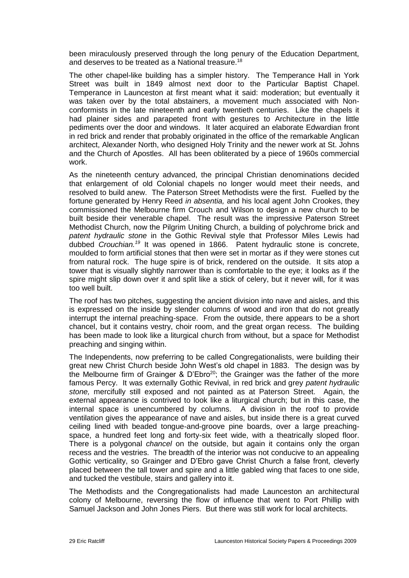been miraculously preserved through the long penury of the Education Department, and deserves to be treated as a National treasure.<sup>18</sup>

The other chapel-like building has a simpler history. The Temperance Hall in York Street was built in 1849 almost next door to the Particular Baptist Chapel. Temperance in Launceston at first meant what it said: moderation; but eventually it was taken over by the total abstainers, a movement much associated with Nonconformists in the late nineteenth and early twentieth centuries. Like the chapels it had plainer sides and parapeted front with gestures to Architecture in the little pediments over the door and windows. It later acquired an elaborate Edwardian front in red brick and render that probably originated in the office of the remarkable Anglican architect, Alexander North, who designed Holy Trinity and the newer work at St. Johns and the Church of Apostles. All has been obliterated by a piece of 1960s commercial work.

As the nineteenth century advanced, the principal Christian denominations decided that enlargement of old Colonial chapels no longer would meet their needs, and resolved to build anew. The Paterson Street Methodists were the first. Fuelled by the fortune generated by Henry Reed *in absentia,* and his local agent John Crookes, they commissioned the Melbourne firm Crouch and Wilson to design a new church to be built beside their venerable chapel. The result was the impressive Paterson Street Methodist Church, now the Pilgrim Uniting Church, a building of polychrome brick and *patent hydraulic stone* in the Gothic Revival style that Professor Miles Lewis had dubbed *Crouchian.<sup>19</sup>* It was opened in 1866. Patent hydraulic stone is concrete, moulded to form artificial stones that then were set in mortar as if they were stones cut from natural rock. The huge spire is of brick, rendered on the outside. It sits atop a tower that is visually slightly narrower than is comfortable to the eye; it looks as if the spire might slip down over it and split like a stick of celery, but it never will, for it was too well built.

The roof has two pitches, suggesting the ancient division into nave and aisles, and this is expressed on the inside by slender columns of wood and iron that do not greatly interrupt the internal preaching-space. From the outside, there appears to be a short chancel, but it contains vestry, choir room, and the great organ recess. The building has been made to look like a liturgical church from without, but a space for Methodist preaching and singing within.

The Independents, now preferring to be called Congregationalists, were building their great new Christ Church beside John West's old chapel in 1883. The design was by the Melbourne firm of Grainger & D'Ebro<sup>20</sup>; the Grainger was the father of the more famous Percy. It was externally Gothic Revival, in red brick and grey *patent hydraulic stone,* mercifully still exposed and not painted as at Paterson Street. Again, the external appearance is contrived to look like a liturgical church; but in this case, the internal space is unencumbered by columns. A division in the roof to provide ventilation gives the appearance of nave and aisles, but inside there is a great curved ceiling lined with beaded tongue-and-groove pine boards, over a large preachingspace, a hundred feet long and forty-six feet wide, with a theatrically sloped floor. There is a polygonal *chancel* on the outside, but again it contains only the organ recess and the vestries. The breadth of the interior was not conducive to an appealing Gothic verticality, so Grainger and D'Ebro gave Christ Church a false front, cleverly placed between the tall tower and spire and a little gabled wing that faces to one side, and tucked the vestibule, stairs and gallery into it.

The Methodists and the Congregationalists had made Launceston an architectural colony of Melbourne, reversing the flow of influence that went to Port Phillip with Samuel Jackson and John Jones Piers. But there was still work for local architects.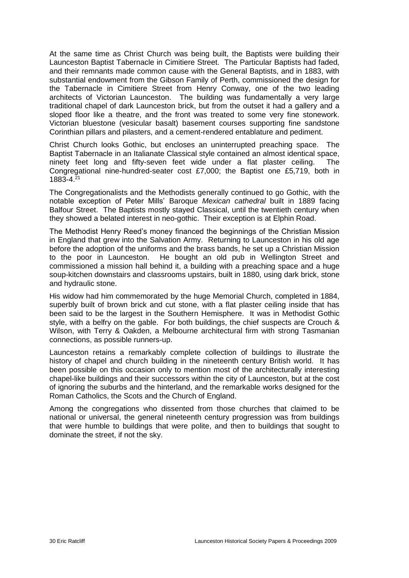At the same time as Christ Church was being built, the Baptists were building their Launceston Baptist Tabernacle in Cimitiere Street. The Particular Baptists had faded, and their remnants made common cause with the General Baptists, and in 1883, with substantial endowment from the Gibson Family of Perth, commissioned the design for the Tabernacle in Cimitiere Street from Henry Conway, one of the two leading architects of Victorian Launceston. The building was fundamentally a very large traditional chapel of dark Launceston brick, but from the outset it had a gallery and a sloped floor like a theatre, and the front was treated to some very fine stonework. Victorian bluestone (vesicular basalt) basement courses supporting fine sandstone Corinthian pillars and pilasters, and a cement-rendered entablature and pediment.

Christ Church looks Gothic, but encloses an uninterrupted preaching space. The Baptist Tabernacle in an Italianate Classical style contained an almost identical space, ninety feet long and fifty-seven feet wide under a flat plaster ceiling. The Congregational nine-hundred-seater cost £7,000; the Baptist one £5,719, both in  $1883 - 4.21$ 

The Congregationalists and the Methodists generally continued to go Gothic, with the notable exception of Peter Mills' Baroque *Mexican cathedral* built in 1889 facing Balfour Street. The Baptists mostly stayed Classical, until the twentieth century when they showed a belated interest in neo-gothic. Their exception is at Elphin Road.

The Methodist Henry Reed's money financed the beginnings of the Christian Mission in England that grew into the Salvation Army. Returning to Launceston in his old age before the adoption of the uniforms and the brass bands, he set up a Christian Mission to the poor in Launceston. He bought an old pub in Wellington Street and commissioned a mission hall behind it, a building with a preaching space and a huge soup-kitchen downstairs and classrooms upstairs, built in 1880, using dark brick, stone and hydraulic stone.

His widow had him commemorated by the huge Memorial Church, completed in 1884, superbly built of brown brick and cut stone, with a flat plaster ceiling inside that has been said to be the largest in the Southern Hemisphere. It was in Methodist Gothic style, with a belfry on the gable. For both buildings, the chief suspects are Crouch & Wilson, with Terry & Oakden, a Melbourne architectural firm with strong Tasmanian connections, as possible runners-up.

Launceston retains a remarkably complete collection of buildings to illustrate the history of chapel and church building in the nineteenth century British world. It has been possible on this occasion only to mention most of the architecturally interesting chapel-like buildings and their successors within the city of Launceston, but at the cost of ignoring the suburbs and the hinterland, and the remarkable works designed for the Roman Catholics, the Scots and the Church of England.

Among the congregations who dissented from those churches that claimed to be national or universal, the general nineteenth century progression was from buildings that were humble to buildings that were polite, and then to buildings that sought to dominate the street, if not the sky.